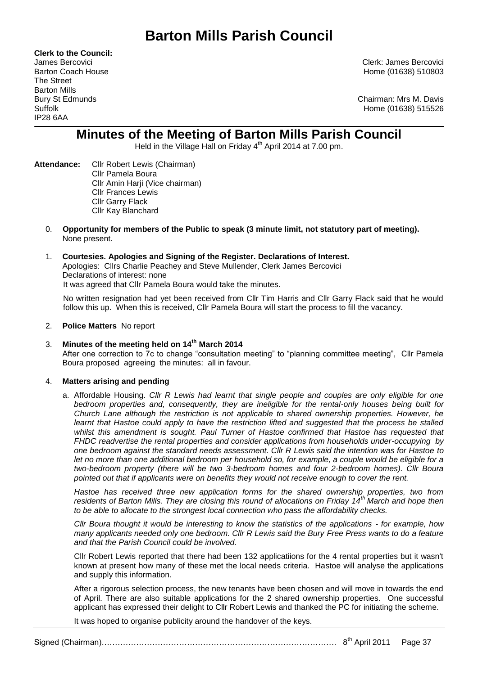**Clerk to the Council:** The Street Barton Mills IP28 6AA

James Bercovici Clerk: James Bercovici Barton Coach House **Home (01638)** 510803

Bury St Edmunds Chairman: Mrs M. Davis Suffolk Home (01638) 515526

# **Minutes of the Meeting of Barton Mills Parish Council**

Held in the Village Hall on Friday  $4<sup>th</sup>$  April 2014 at 7.00 pm.

- **Attendance:** Cllr Robert Lewis (Chairman) Cllr Pamela Boura Cllr Amin Harji (Vice chairman) Cllr Frances Lewis Cllr Garry Flack Cllr Kay Blanchard
	- 0. **Opportunity for members of the Public to speak (3 minute limit, not statutory part of meeting).**  None present.

## 1. **Courtesies. Apologies and Signing of the Register. Declarations of Interest.** Apologies: Cllrs Charlie Peachey and Steve Mullender, Clerk James Bercovici Declarations of interest: none It was agreed that Cllr Pamela Boura would take the minutes.

No written resignation had yet been received from Cllr Tim Harris and Cllr Garry Flack said that he would follow this up. When this is received, Cllr Pamela Boura will start the process to fill the vacancy.

## 2. **Police Matters** No report

## 3. **Minutes of the meeting held on 14th March 2014** After one correction to 7c to change "consultation meeting" to "planning committee meeting", Cllr Pamela Boura proposed agreeing the minutes: all in favour.

## 4. **Matters arising and pending**

a. Affordable Housing. *Cllr R Lewis had learnt that single people and couples are only eligible for one bedroom properties and, consequently, they are ineligible for the rental-only houses being built for Church Lane although the restriction is not applicable to shared ownership properties. However, he learnt that Hastoe could apply to have the restriction lifted and suggested that the process be stalled*  whilst this amendment is sought. Paul Turner of Hastoe confirmed that Hastoe has requested that *FHDC readvertise the rental properties and consider applications from households under-occupying by one bedroom against the standard needs assessment. Cllr R Lewis said the intention was for Hastoe to let no more than one additional bedroom per household so, for example, a couple would be eligible for a two-bedroom property (there will be two 3-bedroom homes and four 2-bedroom homes). Cllr Boura pointed out that if applicants were on benefits they would not receive enough to cover the rent.* 

*Hastoe has received three new application forms for the shared ownership properties, two from residents of Barton Mills. They are closing this round of allocations on Friday 14th March and hope then to be able to allocate to the strongest local connection who pass the affordability checks.*

*Cllr Boura thought it would be interesting to know the statistics of the applications - for example, how many applicants needed only one bedroom. Cllr R Lewis said the Bury Free Press wants to do a feature and that the Parish Council could be involved.*

Cllr Robert Lewis reported that there had been 132 applicatiions for the 4 rental properties but it wasn't known at present how many of these met the local needs criteria. Hastoe will analyse the applications and supply this information.

After a rigorous selection process, the new tenants have been chosen and will move in towards the end of April. There are also suitable applications for the 2 shared ownership properties. One successful applicant has expressed their delight to Cllr Robert Lewis and thanked the PC for initiating the scheme.

It was hoped to organise publicity around the handover of the keys.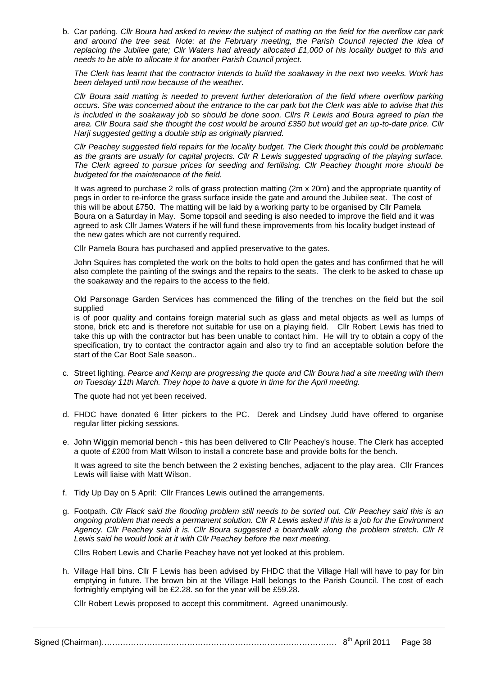b. Car parking. *Cllr Boura had asked to review the subject of matting on the field for the overflow car park and around the tree seat. Note: at the February meeting, the Parish Council rejected the idea of replacing the Jubilee gate; Cllr Waters had already allocated £1,000 of his locality budget to this and needs to be able to allocate it for another Parish Council project.*

*The Clerk has learnt that the contractor intends to build the soakaway in the next two weeks. Work has been delayed until now because of the weather.*

*Cllr Boura said matting is needed to prevent further deterioration of the field where overflow parking occurs. She was concerned about the entrance to the car park but the Clerk was able to advise that this is included in the soakaway job so should be done soon. Cllrs R Lewis and Boura agreed to plan the area. Cllr Boura said she thought the cost would be around £350 but would get an up-to-date price. Cllr Harji suggested getting a double strip as originally planned.*

*Cllr Peachey suggested field repairs for the locality budget. The Clerk thought this could be problematic as the grants are usually for capital projects. Cllr R Lewis suggested upgrading of the playing surface. The Clerk agreed to pursue prices for seeding and fertilising. Cllr Peachey thought more should be budgeted for the maintenance of the field.*

It was agreed to purchase 2 rolls of grass protection matting (2m x 20m) and the appropriate quantity of pegs in order to re-inforce the grass surface inside the gate and around the Jubilee seat. The cost of this will be about £750. The matting will be laid by a working party to be organised by Cllr Pamela Boura on a Saturday in May. Some topsoil and seeding is also needed to improve the field and it was agreed to ask Cllr James Waters if he will fund these improvements from his locality budget instead of the new gates which are not currently required.

Cllr Pamela Boura has purchased and applied preservative to the gates.

John Squires has completed the work on the bolts to hold open the gates and has confirmed that he will also complete the painting of the swings and the repairs to the seats. The clerk to be asked to chase up the soakaway and the repairs to the access to the field.

Old Parsonage Garden Services has commenced the filling of the trenches on the field but the soil supplied

is of poor quality and contains foreign material such as glass and metal objects as well as lumps of stone, brick etc and is therefore not suitable for use on a playing field. Cllr Robert Lewis has tried to take this up with the contractor but has been unable to contact him. He will try to obtain a copy of the specification, try to contact the contractor again and also try to find an acceptable solution before the start of the Car Boot Sale season..

c. Street lighting. *Pearce and Kemp are progressing the quote and Cllr Boura had a site meeting with them on Tuesday 11th March. They hope to have a quote in time for the April meeting.*

The quote had not yet been received.

- d. FHDC have donated 6 litter pickers to the PC. Derek and Lindsey Judd have offered to organise regular litter picking sessions.
- e. John Wiggin memorial bench this has been delivered to Cllr Peachey's house. The Clerk has accepted a quote of £200 from Matt Wilson to install a concrete base and provide bolts for the bench.

It was agreed to site the bench between the 2 existing benches, adjacent to the play area. Cllr Frances Lewis will liaise with Matt Wilson.

- f. Tidy Up Day on 5 April: Cllr Frances Lewis outlined the arrangements.
- g. Footpath. *Cllr Flack said the flooding problem still needs to be sorted out. Cllr Peachey said this is an ongoing problem that needs a permanent solution. Cllr R Lewis asked if this is a job for the Environment Agency. Cllr Peachey said it is. Cllr Boura suggested a boardwalk along the problem stretch. Cllr R Lewis said he would look at it with Cllr Peachey before the next meeting.*

Cllrs Robert Lewis and Charlie Peachey have not yet looked at this problem.

h. Village Hall bins. Cllr F Lewis has been advised by FHDC that the Village Hall will have to pay for bin emptying in future. The brown bin at the Village Hall belongs to the Parish Council. The cost of each fortnightly emptying will be £2.28. so for the year will be £59.28.

Cllr Robert Lewis proposed to accept this commitment. Agreed unanimously.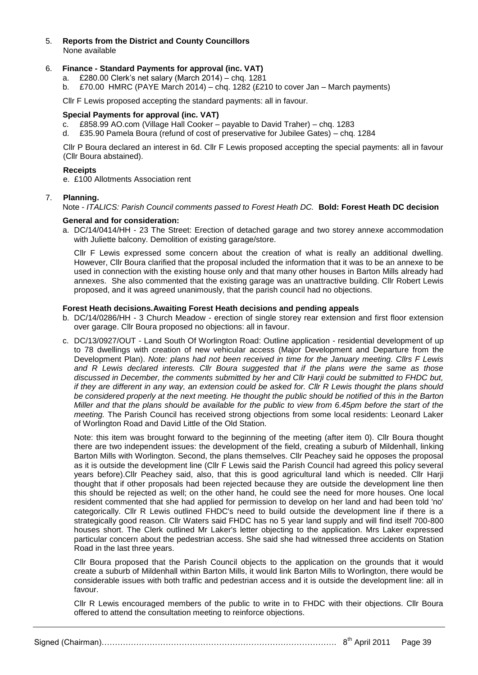## 5. **Reports from the District and County Councillors**  None available

## 6. **Finance - Standard Payments for approval (inc. VAT)**

- a. £280.00 Clerk's net salary (March 2014) chq. 1281
- b.  $\text{\pounds}70.00$  HMRC (PAYE March 2014) chq. 1282 (£210 to cover Jan March payments)

Cllr F Lewis proposed accepting the standard payments: all in favour.

#### **Special Payments for approval (inc. VAT)**

- c. £858.99 AO.com (Village Hall Cooker payable to David Traher) chq. 1283
- d. £35.90 Pamela Boura (refund of cost of preservative for Jubilee Gates) chq. 1284

Cllr P Boura declared an interest in 6d. Cllr F Lewis proposed accepting the special payments: all in favour (Cllr Boura abstained).

#### **Receipts**

e. £100 Allotments Association rent

#### 7. **Planning.**

Note - *ITALICS: Parish Council comments passed to Forest Heath DC.* **Bold: Forest Heath DC decision**

#### **General and for consideration:**

a. DC/14/0414/HH - 23 The Street: Erection of detached garage and two storey annexe accommodation with Juliette balcony. Demolition of existing garage/store.

Cllr F Lewis expressed some concern about the creation of what is really an additional dwelling. However, Cllr Boura clarified that the proposal included the information that it was to be an annexe to be used in connection with the existing house only and that many other houses in Barton Mills already had annexes. She also commented that the existing garage was an unattractive building. Cllr Robert Lewis proposed, and it was agreed unanimously, that the parish council had no objections.

#### **Forest Heath decisions.Awaiting Forest Heath decisions and pending appeals**

- b. DC/14/0286/HH 3 Church Meadow erection of single storey rear extension and first floor extension over garage. Cllr Boura proposed no objections: all in favour.
- c. DC/13/0927/OUT Land South Of Worlington Road: Outline application residential development of up to 78 dwellings with creation of new vehicular access (Major Development and Departure from the Development Plan). *Note: plans had not been received in time for the January meeting. Cllrs F Lewis and R Lewis declared interests. Cllr Boura suggested that if the plans were the same as those discussed in December, the comments submitted by her and Cllr Harji could be submitted to FHDC but, if they are different in any way, an extension could be asked for. Cllr R Lewis thought the plans should be considered properly at the next meeting. He thought the public should be notified of this in the Barton Miller and that the plans should be available for the public to view from 6.45pm before the start of the meeting.* The Parish Council has received strong objections from some local residents: Leonard Laker of Worlington Road and David Little of the Old Station.

Note: this item was brought forward to the beginning of the meeting (after item 0). Cllr Boura thought there are two independent issues: the development of the field, creating a suburb of Mildenhall, linking Barton Mills with Worlington. Second, the plans themselves. Cllr Peachey said he opposes the proposal as it is outside the development line (Cllr F Lewis said the Parish Council had agreed this policy several years before).Cllr Peachey said, also, that this is good agricultural land which is needed. Cllr Harji thought that if other proposals had been rejected because they are outside the development line then this should be rejected as well; on the other hand, he could see the need for more houses. One local resident commented that she had applied for permission to develop on her land and had been told 'no' categorically. Cllr R Lewis outlined FHDC's need to build outside the development line if there is a strategically good reason. Cllr Waters said FHDC has no 5 year land supply and will find itself 700-800 houses short. The Clerk outlined Mr Laker's letter objecting to the application. Mrs Laker expressed particular concern about the pedestrian access. She said she had witnessed three accidents on Station Road in the last three years.

Cllr Boura proposed that the Parish Council objects to the application on the grounds that it would create a suburb of Mildenhall within Barton Mills, it would link Barton Mills to Worlington, there would be considerable issues with both traffic and pedestrian access and it is outside the development line: all in favour.

Cllr R Lewis encouraged members of the public to write in to FHDC with their objections. Cllr Boura offered to attend the consultation meeting to reinforce objections.